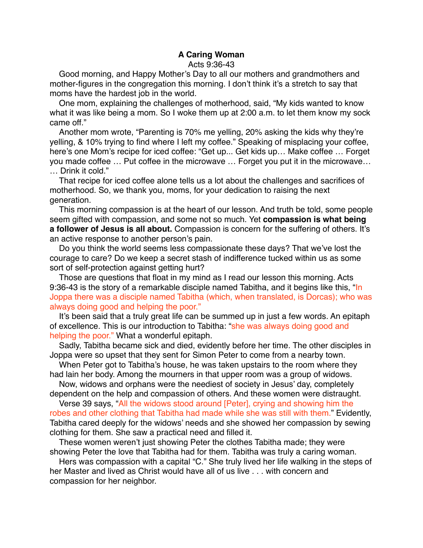## **A Caring Woman** Acts 9:36-43

Good morning, and Happy Mother's Day to all our mothers and grandmothers and mother-figures in the congregation this morning. I don't think it's a stretch to say that moms have the hardest job in the world.

One mom, explaining the challenges of motherhood, said, "My kids wanted to know what it was like being a mom. So I woke them up at 2:00 a.m. to let them know my sock came off."

Another mom wrote, "Parenting is 70% me yelling, 20% asking the kids why they're yelling, & 10% trying to find where I left my coffee." Speaking of misplacing your coffee, here's one Mom's recipe for iced coffee: "Get up... Get kids up… Make coffee … Forget you made coffee … Put coffee in the microwave … Forget you put it in the microwave… … Drink it cold."

That recipe for iced coffee alone tells us a lot about the challenges and sacrifices of motherhood. So, we thank you, moms, for your dedication to raising the next generation.

This morning compassion is at the heart of our lesson. And truth be told, some people seem gifted with compassion, and some not so much. Yet **compassion is what being a follower of Jesus is all about.** Compassion is concern for the suffering of others. It's an active response to another person's pain.

Do you think the world seems less compassionate these days? That we've lost the courage to care? Do we keep a secret stash of indifference tucked within us as some sort of self-protection against getting hurt?

Those are questions that float in my mind as I read our lesson this morning. Acts 9:36-43 is the story of a remarkable disciple named Tabitha, and it begins like this, "In Joppa there was a disciple named Tabitha (which, when translated, is Dorcas); who was always doing good and helping the poor."

It's been said that a truly great life can be summed up in just a few words. An epitaph of excellence. This is our introduction to Tabitha: "she was always doing good and helping the poor." What a wonderful epitaph.

Sadly, Tabitha became sick and died, evidently before her time. The other disciples in Joppa were so upset that they sent for Simon Peter to come from a nearby town.

When Peter got to Tabitha's house, he was taken upstairs to the room where they had lain her body. Among the mourners in that upper room was a group of widows.

Now, widows and orphans were the neediest of society in Jesus' day, completely dependent on the help and compassion of others. And these women were distraught.

Verse 39 says, "All the widows stood around [Peter], crying and showing him the robes and other clothing that Tabitha had made while she was still with them." Evidently, Tabitha cared deeply for the widows' needs and she showed her compassion by sewing clothing for them. She saw a practical need and filled it.

These women weren't just showing Peter the clothes Tabitha made; they were showing Peter the love that Tabitha had for them. Tabitha was truly a caring woman.

Hers was compassion with a capital "C." She truly lived her life walking in the steps of her Master and lived as Christ would have all of us live . . . with concern and compassion for her neighbor.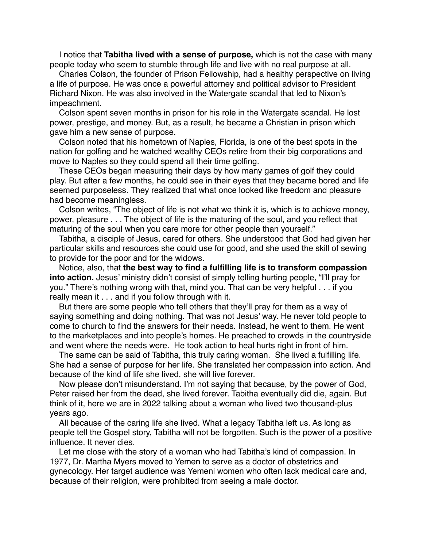I notice that **Tabitha lived with a sense of purpose,** which is not the case with many people today who seem to stumble through life and live with no real purpose at all.

Charles Colson, the founder of Prison Fellowship, had a healthy perspective on living a life of purpose. He was once a powerful attorney and political advisor to President Richard Nixon. He was also involved in the Watergate scandal that led to Nixon's impeachment.

Colson spent seven months in prison for his role in the Watergate scandal. He lost power, prestige, and money. But, as a result, he became a Christian in prison which gave him a new sense of purpose.

Colson noted that his hometown of Naples, Florida, is one of the best spots in the nation for golfing and he watched wealthy CEOs retire from their big corporations and move to Naples so they could spend all their time golfing.

These CEOs began measuring their days by how many games of golf they could play. But after a few months, he could see in their eyes that they became bored and life seemed purposeless. They realized that what once looked like freedom and pleasure had become meaningless.

Colson writes, "The object of life is not what we think it is, which is to achieve money, power, pleasure . . . The object of life is the maturing of the soul, and you reflect that maturing of the soul when you care more for other people than yourself."

Tabitha, a disciple of Jesus, cared for others. She understood that God had given her particular skills and resources she could use for good, and she used the skill of sewing to provide for the poor and for the widows.

Notice, also, that **the best way to find a fulfilling life is to transform compassion into action.** Jesus' ministry didn't consist of simply telling hurting people, "I'll pray for you." There's nothing wrong with that, mind you. That can be very helpful . . . if you really mean it . . . and if you follow through with it.

But there are some people who tell others that they'll pray for them as a way of saying something and doing nothing. That was not Jesus' way. He never told people to come to church to find the answers for their needs. Instead, he went to them. He went to the marketplaces and into people's homes. He preached to crowds in the countryside and went where the needs were. He took action to heal hurts right in front of him.

The same can be said of Tabitha, this truly caring woman. She lived a fulfilling life. She had a sense of purpose for her life. She translated her compassion into action. And because of the kind of life she lived, she will live forever.

Now please don't misunderstand. I'm not saying that because, by the power of God, Peter raised her from the dead, she lived forever. Tabitha eventually did die, again. But think of it, here we are in 2022 talking about a woman who lived two thousand-plus years ago.

All because of the caring life she lived. What a legacy Tabitha left us. As long as people tell the Gospel story, Tabitha will not be forgotten. Such is the power of a positive influence. It never dies.

Let me close with the story of a woman who had Tabitha's kind of compassion. In 1977, Dr. Martha Myers moved to Yemen to serve as a doctor of obstetrics and gynecology. Her target audience was Yemeni women who often lack medical care and, because of their religion, were prohibited from seeing a male doctor.